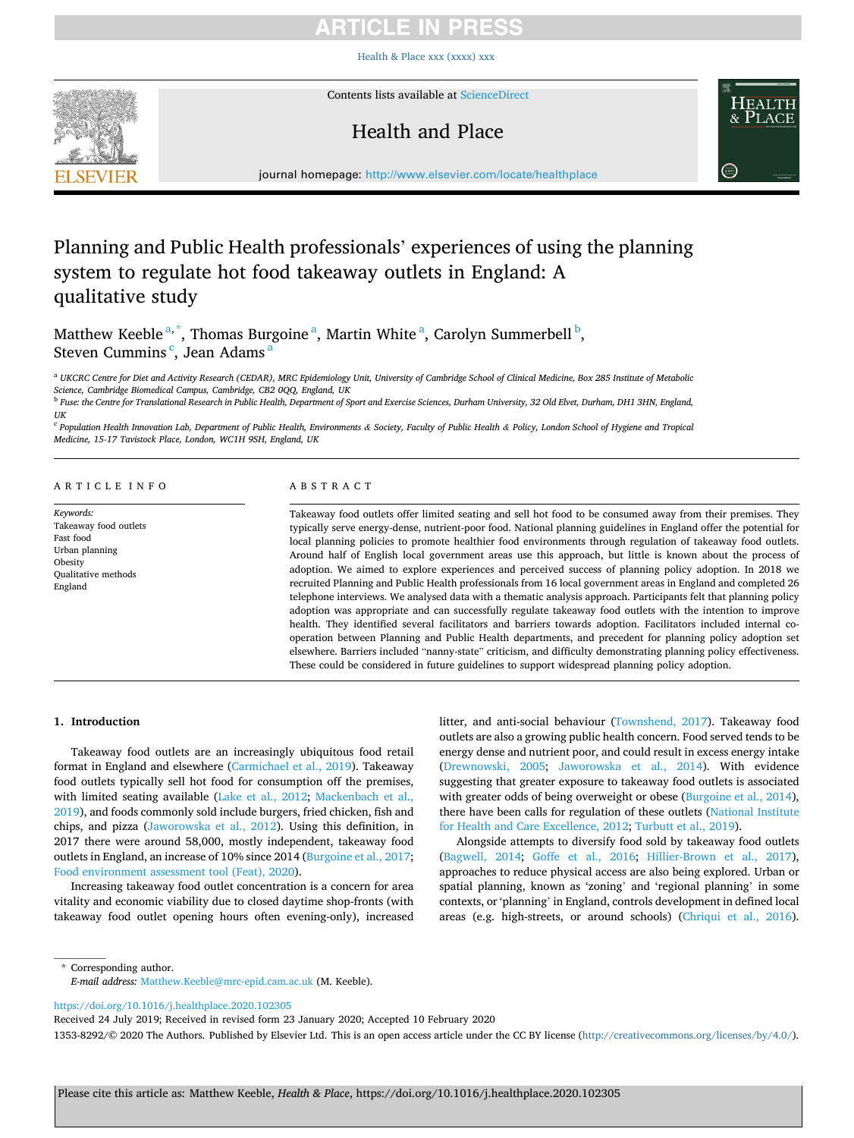[Health & Place xxx \(xxxx\) xxx](https://doi.org/10.1016/j.healthplace.2020.102305)



Contents lists available at [ScienceDirect](www.sciencedirect.com/science/journal/13538292)

# Health and Place



journal homepage: [http://www.elsevier.com/locate/healthplace](https://http://www.elsevier.com/locate/healthplace) 

# Planning and Public Health professionals' experiences of using the planning system to regulate hot food takeaway outlets in England: A qualitative study

Matthew Keeble  $a^*$ , Thomas Burgoine  $a$ , Martin White  $a$ , Carolyn Summerbell  $b$ , Steven Cummins<sup>c</sup>, Jean Adams<sup>a</sup>

<sup>a</sup> *UKCRC Centre for Diet and Activity Research (CEDAR), MRC Epidemiology Unit, University of Cambridge School of Clinical Medicine, Box 285 Institute of Metabolic Science, Cambridge Biomedical Campus, Cambridge, CB2 0QQ, England, UK* 

<sup>b</sup> *Fuse: the Centre for Translational Research in Public Health, Department of Sport and Exercise Sciences, Durham University, 32 Old Elvet, Durham, DH1 3HN, England, UK* 

<sup>c</sup> *Population Health Innovation Lab, Department of Public Health, Environments & Society, Faculty of Public Health & Policy, London School of Hygiene and Tropical Medicine, 15-17 Tavistock Place, London, WC1H 9SH, England, UK* 

ARTICLE INFO

*Keywords:*  Takeaway food outlets Fast food Urban planning **Obesity** Qualitative methods England

# ABSTRACT

Takeaway food outlets offer limited seating and sell hot food to be consumed away from their premises. They typically serve energy-dense, nutrient-poor food. National planning guidelines in England offer the potential for local planning policies to promote healthier food environments through regulation of takeaway food outlets. Around half of English local government areas use this approach, but little is known about the process of adoption. We aimed to explore experiences and perceived success of planning policy adoption. In 2018 we recruited Planning and Public Health professionals from 16 local government areas in England and completed 26 telephone interviews. We analysed data with a thematic analysis approach. Participants felt that planning policy adoption was appropriate and can successfully regulate takeaway food outlets with the intention to improve health. They identified several facilitators and barriers towards adoption. Facilitators included internal cooperation between Planning and Public Health departments, and precedent for planning policy adoption set elsewhere. Barriers included "nanny-state" criticism, and difficulty demonstrating planning policy effectiveness. These could be considered in future guidelines to support widespread planning policy adoption.

## **1. Introduction**

Takeaway food outlets are an increasingly ubiquitous food retail format in England and elsewhere ([Carmichael et al., 2019](#page-7-0)). Takeaway food outlets typically sell hot food for consumption off the premises, with limited seating available [\(Lake et al., 2012](#page-8-0); [Mackenbach et al.,](#page-8-0)  [2019\)](#page-8-0), and foods commonly sold include burgers, fried chicken, fish and chips, and pizza [\(Jaworowska et al., 2012\)](#page-8-0). Using this definition, in 2017 there were around 58,000, mostly independent, takeaway food outlets in England, an increase of 10% since 2014 ([Burgoine et al., 2017](#page-7-0); [Food environment assessment tool \(Feat\), 2020](#page-7-0)).

Increasing takeaway food outlet concentration is a concern for area vitality and economic viability due to closed daytime shop-fronts (with takeaway food outlet opening hours often evening-only), increased litter, and anti-social behaviour [\(Townshend, 2017\)](#page-8-0). Takeaway food outlets are also a growing public health concern. Food served tends to be energy dense and nutrient poor, and could result in excess energy intake ([Drewnowski, 2005;](#page-7-0) [Jaworowska et al., 2014](#page-8-0)). With evidence suggesting that greater exposure to takeaway food outlets is associated with greater odds of being overweight or obese [\(Burgoine et al., 2014](#page-7-0)), there have been calls for regulation of these outlets ([National Institute](#page-8-0)  [for Health and Care Excellence, 2012; Turbutt et al., 2019\)](#page-8-0).

Alongside attempts to diversify food sold by takeaway food outlets ([Bagwell, 2014;](#page-7-0) [Goffe et al., 2016](#page-7-0); [Hillier-Brown et al., 2017](#page-8-0)), approaches to reduce physical access are also being explored. Urban or spatial planning, known as 'zoning' and 'regional planning' in some contexts, or 'planning' in England, controls development in defined local areas (e.g. high-streets, or around schools) [\(Chriqui et al., 2016](#page-7-0)).

\* Corresponding author. *E-mail address:* [Matthew.Keeble@mrc-epid.cam.ac.uk](mailto:Matthew.Keeble@mrc-epid.cam.ac.uk) (M. Keeble).

<https://doi.org/10.1016/j.healthplace.2020.102305>

Received 24 July 2019; Received in revised form 23 January 2020; Accepted 10 February 2020

1353-8292/© 2020 The Authors. Published by Elsevier Ltd. This is an open access article under the CC BY license [\(http://creativecommons.org/licenses/by/4.0/\)](http://creativecommons.org/licenses/by/4.0/).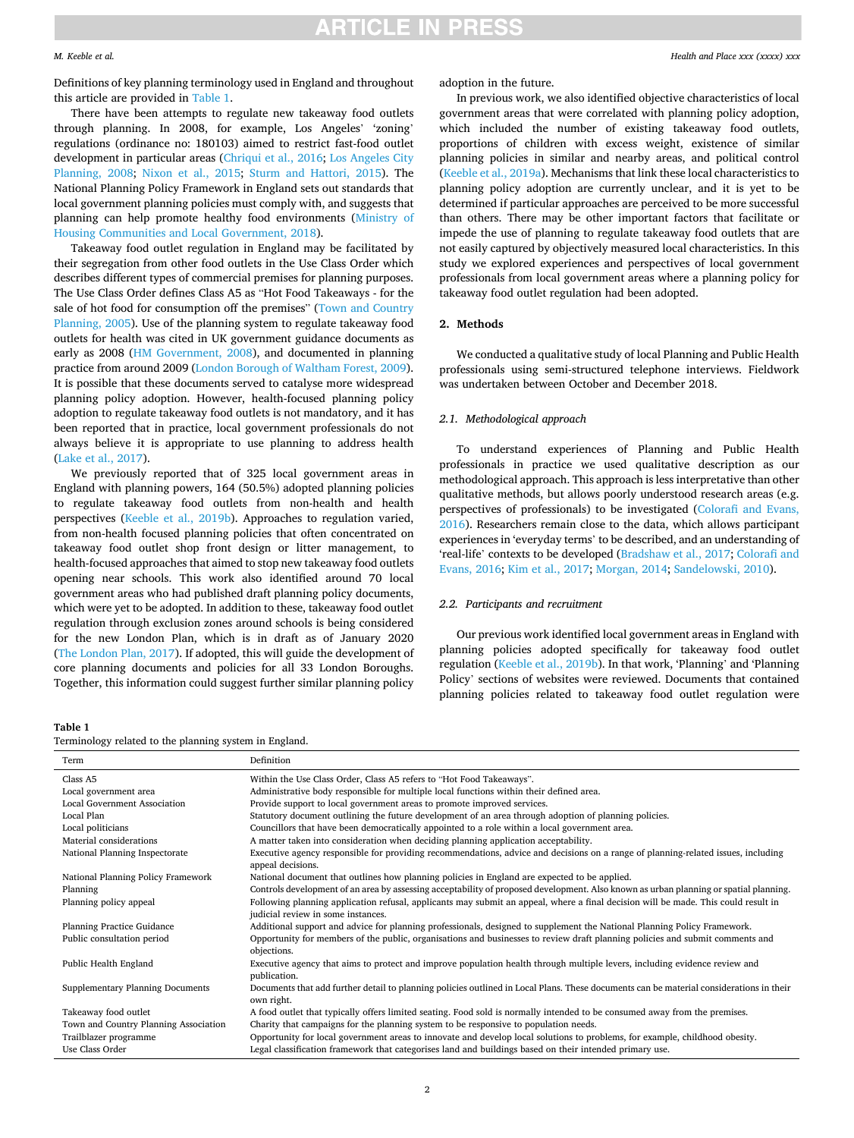#### *M. Keeble et al.*

Definitions of key planning terminology used in England and throughout this article are provided in Table 1.

There have been attempts to regulate new takeaway food outlets through planning. In 2008, for example, Los Angeles' 'zoning' regulations (ordinance no: 180103) aimed to restrict fast-food outlet development in particular areas [\(Chriqui et al., 2016](#page-7-0); [Los Angeles City](#page-8-0)  [Planning, 2008](#page-8-0); [Nixon et al., 2015;](#page-8-0) [Sturm and Hattori, 2015](#page-8-0)). The National Planning Policy Framework in England sets out standards that local government planning policies must comply with, and suggests that planning can help promote healthy food environments [\(Ministry of](#page-8-0)  [Housing Communities and Local Government, 2018\)](#page-8-0).

Takeaway food outlet regulation in England may be facilitated by their segregation from other food outlets in the Use Class Order which describes different types of commercial premises for planning purposes. The Use Class Order defines Class A5 as "Hot Food Takeaways - for the sale of hot food for consumption off the premises" (Town and Country [Planning, 2005](#page-8-0)). Use of the planning system to regulate takeaway food outlets for health was cited in UK government guidance documents as early as 2008 [\(HM Government, 2008](#page-8-0)), and documented in planning practice from around 2009 ([London Borough of Waltham Forest, 2009](#page-8-0)). It is possible that these documents served to catalyse more widespread planning policy adoption. However, health-focused planning policy adoption to regulate takeaway food outlets is not mandatory, and it has been reported that in practice, local government professionals do not always believe it is appropriate to use planning to address health ([Lake et al., 2017\)](#page-8-0).

We previously reported that of 325 local government areas in England with planning powers, 164 (50.5%) adopted planning policies to regulate takeaway food outlets from non-health and health perspectives [\(Keeble et al., 2019b\)](#page-8-0). Approaches to regulation varied, from non-health focused planning policies that often concentrated on takeaway food outlet shop front design or litter management, to health-focused approaches that aimed to stop new takeaway food outlets opening near schools. This work also identified around 70 local government areas who had published draft planning policy documents, which were yet to be adopted. In addition to these, takeaway food outlet regulation through exclusion zones around schools is being considered for the new London Plan, which is in draft as of January 2020 ([The London Plan, 2017](#page-8-0)). If adopted, this will guide the development of core planning documents and policies for all 33 London Boroughs. Together, this information could suggest further similar planning policy

#### **Table 1**

| Terminology related to the planning system in England. |  |  |  |  |  |
|--------------------------------------------------------|--|--|--|--|--|
|--------------------------------------------------------|--|--|--|--|--|

adoption in the future.

In previous work, we also identified objective characteristics of local government areas that were correlated with planning policy adoption, which included the number of existing takeaway food outlets, proportions of children with excess weight, existence of similar planning policies in similar and nearby areas, and political control ([Keeble et al., 2019a\)](#page-8-0). Mechanisms that link these local characteristics to planning policy adoption are currently unclear, and it is yet to be determined if particular approaches are perceived to be more successful than others. There may be other important factors that facilitate or impede the use of planning to regulate takeaway food outlets that are not easily captured by objectively measured local characteristics. In this study we explored experiences and perspectives of local government professionals from local government areas where a planning policy for takeaway food outlet regulation had been adopted.

#### **2. Methods**

We conducted a qualitative study of local Planning and Public Health professionals using semi-structured telephone interviews. Fieldwork was undertaken between October and December 2018.

### *2.1. Methodological approach*

To understand experiences of Planning and Public Health professionals in practice we used qualitative description as our methodological approach. This approach is less interpretative than other qualitative methods, but allows poorly understood research areas (e.g. perspectives of professionals) to be investigated ([Colorafi and Evans,](#page-7-0)  [2016\)](#page-7-0). Researchers remain close to the data, which allows participant experiences in 'everyday terms' to be described, and an understanding of 'real-life' contexts to be developed [\(Bradshaw et al., 2017; Colorafi and](#page-7-0)  [Evans, 2016;](#page-7-0) [Kim et al., 2017](#page-8-0); [Morgan, 2014; Sandelowski, 2010\)](#page-8-0).

### *2.2. Participants and recruitment*

Our previous work identified local government areas in England with planning policies adopted specifically for takeaway food outlet regulation ([Keeble et al., 2019b](#page-8-0)). In that work, 'Planning' and 'Planning Policy' sections of websites were reviewed. Documents that contained planning policies related to takeaway food outlet regulation were

| Term                                  | Definition                                                                                                                                                               |
|---------------------------------------|--------------------------------------------------------------------------------------------------------------------------------------------------------------------------|
| Class A5                              | Within the Use Class Order, Class A5 refers to "Hot Food Takeaways".                                                                                                     |
| Local government area                 | Administrative body responsible for multiple local functions within their defined area.                                                                                  |
| <b>Local Government Association</b>   | Provide support to local government areas to promote improved services.                                                                                                  |
| Local Plan                            | Statutory document outlining the future development of an area through adoption of planning policies.                                                                    |
| Local politicians                     | Councillors that have been democratically appointed to a role within a local government area.                                                                            |
| Material considerations               | A matter taken into consideration when deciding planning application acceptability.                                                                                      |
| National Planning Inspectorate        | Executive agency responsible for providing recommendations, advice and decisions on a range of planning-related issues, including<br>appeal decisions.                   |
| National Planning Policy Framework    | National document that outlines how planning policies in England are expected to be applied.                                                                             |
| Planning                              | Controls development of an area by assessing acceptability of proposed development. Also known as urban planning or spatial planning.                                    |
| Planning policy appeal                | Following planning application refusal, applicants may submit an appeal, where a final decision will be made. This could result in<br>judicial review in some instances. |
| Planning Practice Guidance            | Additional support and advice for planning professionals, designed to supplement the National Planning Policy Framework.                                                 |
| Public consultation period            | Opportunity for members of the public, organisations and businesses to review draft planning policies and submit comments and<br>objections.                             |
| Public Health England                 | Executive agency that aims to protect and improve population health through multiple levers, including evidence review and<br>publication.                               |
| Supplementary Planning Documents      | Documents that add further detail to planning policies outlined in Local Plans. These documents can be material considerations in their<br>own right.                    |
| Takeaway food outlet                  | A food outlet that typically offers limited seating. Food sold is normally intended to be consumed away from the premises.                                               |
| Town and Country Planning Association | Charity that campaigns for the planning system to be responsive to population needs.                                                                                     |
| Trailblazer programme                 | Opportunity for local government areas to innovate and develop local solutions to problems, for example, childhood obesity.                                              |
| Use Class Order                       | Legal classification framework that categorises land and buildings based on their intended primary use.                                                                  |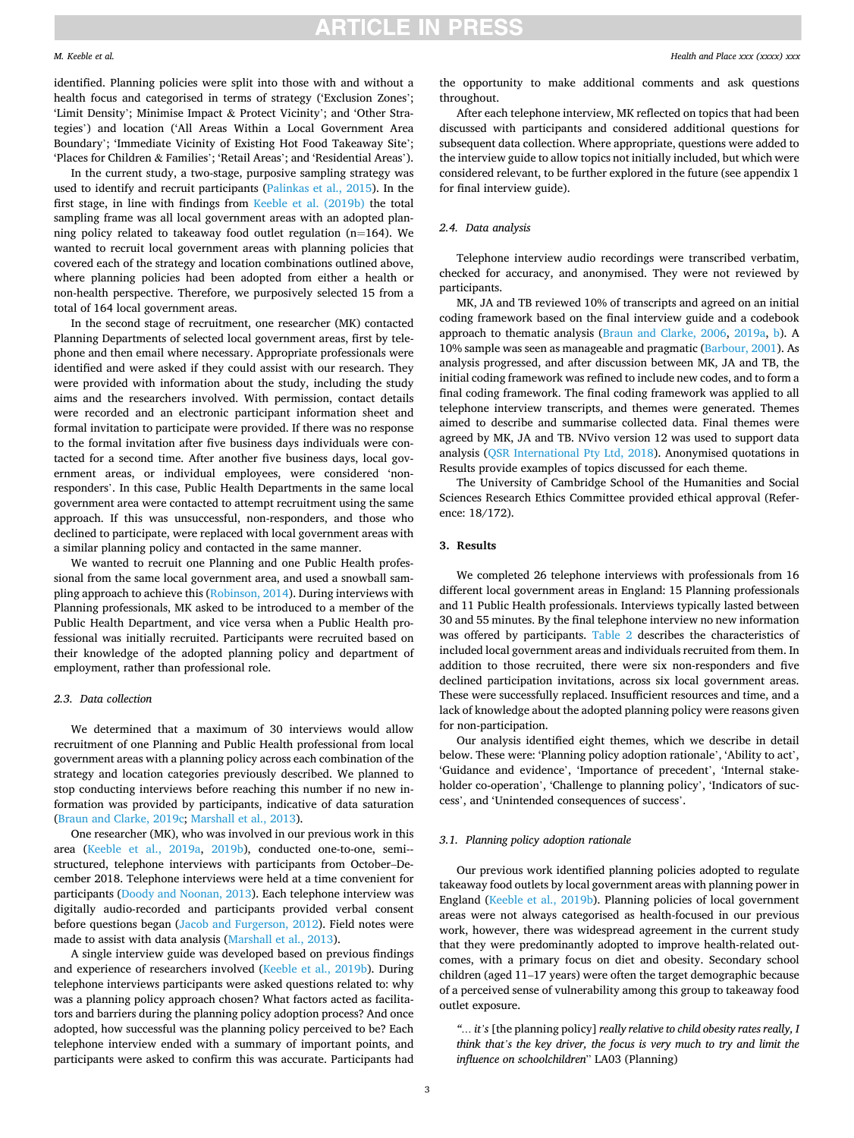#### *M. Keeble et al.*

identified. Planning policies were split into those with and without a health focus and categorised in terms of strategy ('Exclusion Zones'; 'Limit Density'; Minimise Impact & Protect Vicinity'; and 'Other Strategies') and location ('All Areas Within a Local Government Area Boundary'; 'Immediate Vicinity of Existing Hot Food Takeaway Site'; 'Places for Children & Families'; 'Retail Areas'; and 'Residential Areas').

In the current study, a two-stage, purposive sampling strategy was used to identify and recruit participants [\(Palinkas et al., 2015](#page-8-0)). In the first stage, in line with findings from [Keeble et al. \(2019b\)](#page-8-0) the total sampling frame was all local government areas with an adopted planning policy related to takeaway food outlet regulation (n=164). We wanted to recruit local government areas with planning policies that covered each of the strategy and location combinations outlined above, where planning policies had been adopted from either a health or non-health perspective. Therefore, we purposively selected 15 from a total of 164 local government areas.

In the second stage of recruitment, one researcher (MK) contacted Planning Departments of selected local government areas, first by telephone and then email where necessary. Appropriate professionals were identified and were asked if they could assist with our research. They were provided with information about the study, including the study aims and the researchers involved. With permission, contact details were recorded and an electronic participant information sheet and formal invitation to participate were provided. If there was no response to the formal invitation after five business days individuals were contacted for a second time. After another five business days, local government areas, or individual employees, were considered 'nonresponders'. In this case, Public Health Departments in the same local government area were contacted to attempt recruitment using the same approach. If this was unsuccessful, non-responders, and those who declined to participate, were replaced with local government areas with a similar planning policy and contacted in the same manner.

We wanted to recruit one Planning and one Public Health professional from the same local government area, and used a snowball sampling approach to achieve this ([Robinson, 2014](#page-8-0)). During interviews with Planning professionals, MK asked to be introduced to a member of the Public Health Department, and vice versa when a Public Health professional was initially recruited. Participants were recruited based on their knowledge of the adopted planning policy and department of employment, rather than professional role.

### *2.3. Data collection*

We determined that a maximum of 30 interviews would allow recruitment of one Planning and Public Health professional from local government areas with a planning policy across each combination of the strategy and location categories previously described. We planned to stop conducting interviews before reaching this number if no new information was provided by participants, indicative of data saturation ([Braun and Clarke, 2019c](#page-7-0); [Marshall et al., 2013](#page-8-0)).

One researcher (MK), who was involved in our previous work in this area [\(Keeble et al., 2019a,](#page-8-0) [2019b\)](#page-8-0), conducted one-to-one, semi-structured, telephone interviews with participants from October–December 2018. Telephone interviews were held at a time convenient for participants ([Doody and Noonan, 2013](#page-7-0)). Each telephone interview was digitally audio-recorded and participants provided verbal consent before questions began [\(Jacob and Furgerson, 2012](#page-8-0)). Field notes were made to assist with data analysis [\(Marshall et al., 2013](#page-8-0)).

A single interview guide was developed based on previous findings and experience of researchers involved ([Keeble et al., 2019b](#page-8-0)). During telephone interviews participants were asked questions related to: why was a planning policy approach chosen? What factors acted as facilitators and barriers during the planning policy adoption process? And once adopted, how successful was the planning policy perceived to be? Each telephone interview ended with a summary of important points, and participants were asked to confirm this was accurate. Participants had the opportunity to make additional comments and ask questions throughout.

After each telephone interview, MK reflected on topics that had been discussed with participants and considered additional questions for subsequent data collection. Where appropriate, questions were added to the interview guide to allow topics not initially included, but which were considered relevant, to be further explored in the future (see appendix 1 for final interview guide).

# *2.4. Data analysis*

Telephone interview audio recordings were transcribed verbatim, checked for accuracy, and anonymised. They were not reviewed by participants.

MK, JA and TB reviewed 10% of transcripts and agreed on an initial coding framework based on the final interview guide and a codebook approach to thematic analysis ([Braun and Clarke, 2006,](#page-7-0) [2019a](#page-7-0), [b\)](#page-7-0). A 10% sample was seen as manageable and pragmatic ([Barbour, 2001](#page-7-0)). As analysis progressed, and after discussion between MK, JA and TB, the initial coding framework was refined to include new codes, and to form a final coding framework. The final coding framework was applied to all telephone interview transcripts, and themes were generated. Themes aimed to describe and summarise collected data. Final themes were agreed by MK, JA and TB. NVivo version 12 was used to support data analysis [\(QSR International Pty Ltd, 2018](#page-8-0)). Anonymised quotations in Results provide examples of topics discussed for each theme.

The University of Cambridge School of the Humanities and Social Sciences Research Ethics Committee provided ethical approval (Reference: 18/172).

#### **3. Results**

We completed 26 telephone interviews with professionals from 16 different local government areas in England: 15 Planning professionals and 11 Public Health professionals. Interviews typically lasted between 30 and 55 minutes. By the final telephone interview no new information was offered by participants. [Table 2](#page-3-0) describes the characteristics of included local government areas and individuals recruited from them. In addition to those recruited, there were six non-responders and five declined participation invitations, across six local government areas. These were successfully replaced. Insufficient resources and time, and a lack of knowledge about the adopted planning policy were reasons given for non-participation.

Our analysis identified eight themes, which we describe in detail below. These were: 'Planning policy adoption rationale', 'Ability to act', 'Guidance and evidence', 'Importance of precedent', 'Internal stakeholder co-operation', 'Challenge to planning policy', 'Indicators of success', and 'Unintended consequences of success'.

#### *3.1. Planning policy adoption rationale*

Our previous work identified planning policies adopted to regulate takeaway food outlets by local government areas with planning power in England [\(Keeble et al., 2019b\)](#page-8-0). Planning policies of local government areas were not always categorised as health-focused in our previous work, however, there was widespread agreement in the current study that they were predominantly adopted to improve health-related outcomes, with a primary focus on diet and obesity. Secondary school children (aged 11–17 years) were often the target demographic because of a perceived sense of vulnerability among this group to takeaway food outlet exposure.

*"… it's* [the planning policy] *really relative to child obesity rates really, I think that's the key driver, the focus is very much to try and limit the influence on schoolchildren*" LA03 (Planning)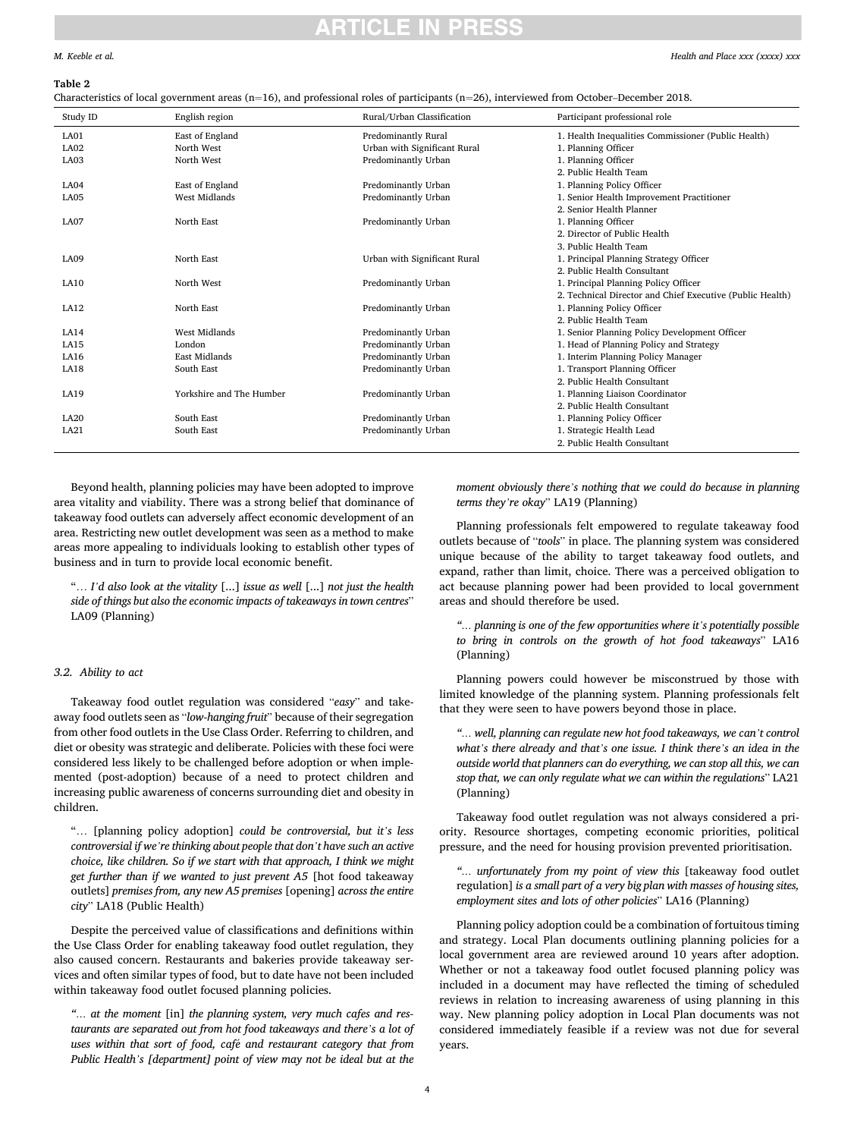### <span id="page-3-0"></span>*M. Keeble et al.*

#### **Table 2**

Characteristics of local government areas (n=16), and professional roles of participants (n=26), interviewed from October–December 2018.

| Study ID    | English region           | Rural/Urban Classification   | Participant professional role                             |  |
|-------------|--------------------------|------------------------------|-----------------------------------------------------------|--|
| LA01        | East of England          | Predominantly Rural          | 1. Health Inequalities Commissioner (Public Health)       |  |
| LA02        | North West               | Urban with Significant Rural | 1. Planning Officer                                       |  |
| LA03        | North West               | Predominantly Urban          | 1. Planning Officer                                       |  |
|             |                          |                              | 2. Public Health Team                                     |  |
| LA04        | East of England          | Predominantly Urban          | 1. Planning Policy Officer                                |  |
| LA05        | West Midlands            | Predominantly Urban          | 1. Senior Health Improvement Practitioner                 |  |
|             |                          |                              | 2. Senior Health Planner                                  |  |
| LA07        | North East               | Predominantly Urban          | 1. Planning Officer                                       |  |
|             |                          |                              | 2. Director of Public Health                              |  |
|             |                          |                              | 3. Public Health Team                                     |  |
| LA09        | North East               | Urban with Significant Rural | 1. Principal Planning Strategy Officer                    |  |
|             |                          |                              | 2. Public Health Consultant                               |  |
| LA10        | North West               | Predominantly Urban          | 1. Principal Planning Policy Officer                      |  |
|             |                          |                              | 2. Technical Director and Chief Executive (Public Health) |  |
| LA12        | North East               | Predominantly Urban          | 1. Planning Policy Officer                                |  |
|             |                          |                              | 2. Public Health Team                                     |  |
| LA14        | West Midlands            | Predominantly Urban          | 1. Senior Planning Policy Development Officer             |  |
| LA15        | London                   | Predominantly Urban          | 1. Head of Planning Policy and Strategy                   |  |
| <b>LA16</b> | East Midlands            | Predominantly Urban          | 1. Interim Planning Policy Manager                        |  |
| LA18        | South East               | Predominantly Urban          | 1. Transport Planning Officer                             |  |
|             |                          |                              | 2. Public Health Consultant                               |  |
| <b>LA19</b> | Yorkshire and The Humber | Predominantly Urban          | 1. Planning Liaison Coordinator                           |  |
|             |                          |                              | 2. Public Health Consultant                               |  |
| LA20        | South East               | Predominantly Urban          | 1. Planning Policy Officer                                |  |
| LA21        | South East               | Predominantly Urban          | 1. Strategic Health Lead                                  |  |
|             |                          |                              | 2. Public Health Consultant                               |  |

Beyond health, planning policies may have been adopted to improve area vitality and viability. There was a strong belief that dominance of takeaway food outlets can adversely affect economic development of an area. Restricting new outlet development was seen as a method to make areas more appealing to individuals looking to establish other types of business and in turn to provide local economic benefit.

"… *I'd also look at the vitality* [...] *issue as well* [...] *not just the health side of things but also the economic impacts of takeaways in town centres*" LA09 (Planning)

#### *3.2. Ability to act*

Takeaway food outlet regulation was considered "*easy*" and takeaway food outlets seen as "*low-hanging fruit*" because of their segregation from other food outlets in the Use Class Order. Referring to children, and diet or obesity was strategic and deliberate. Policies with these foci were considered less likely to be challenged before adoption or when implemented (post-adoption) because of a need to protect children and increasing public awareness of concerns surrounding diet and obesity in children.

"… [planning policy adoption] *could be controversial, but it's less controversial if we're thinking about people that don't have such an active choice, like children. So if we start with that approach, I think we might get further than if we wanted to just prevent A5* [hot food takeaway outlets] *premises from, any new A5 premises* [opening] *across the entire city*" LA18 (Public Health)

Despite the perceived value of classifications and definitions within the Use Class Order for enabling takeaway food outlet regulation, they also caused concern. Restaurants and bakeries provide takeaway services and often similar types of food, but to date have not been included within takeaway food outlet focused planning policies.

*"… at the moment* [in] *the planning system, very much cafes and restaurants are separated out from hot food takeaways and there's a lot of uses within that sort of food, caf*�*e and restaurant category that from Public Health's [department] point of view may not be ideal but at the* 

*moment obviously there's nothing that we could do because in planning terms they're okay*" LA19 (Planning)

Planning professionals felt empowered to regulate takeaway food outlets because of "*tools*" in place. The planning system was considered unique because of the ability to target takeaway food outlets, and expand, rather than limit, choice. There was a perceived obligation to act because planning power had been provided to local government areas and should therefore be used.

*"… planning is one of the few opportunities where it's potentially possible to bring in controls on the growth of hot food takeaways*" LA16 (Planning)

Planning powers could however be misconstrued by those with limited knowledge of the planning system. Planning professionals felt that they were seen to have powers beyond those in place.

*"… well, planning can regulate new hot food takeaways, we can't control what's there already and that's one issue. I think there's an idea in the outside world that planners can do everything, we can stop all this, we can stop that, we can only regulate what we can within the regulations*" LA21 (Planning)

Takeaway food outlet regulation was not always considered a priority. Resource shortages, competing economic priorities, political pressure, and the need for housing provision prevented prioritisation.

*"… unfortunately from my point of view this* [takeaway food outlet regulation] *is a small part of a very big plan with masses of housing sites, employment sites and lots of other policies*" LA16 (Planning)

Planning policy adoption could be a combination of fortuitous timing and strategy. Local Plan documents outlining planning policies for a local government area are reviewed around 10 years after adoption. Whether or not a takeaway food outlet focused planning policy was included in a document may have reflected the timing of scheduled reviews in relation to increasing awareness of using planning in this way. New planning policy adoption in Local Plan documents was not considered immediately feasible if a review was not due for several years.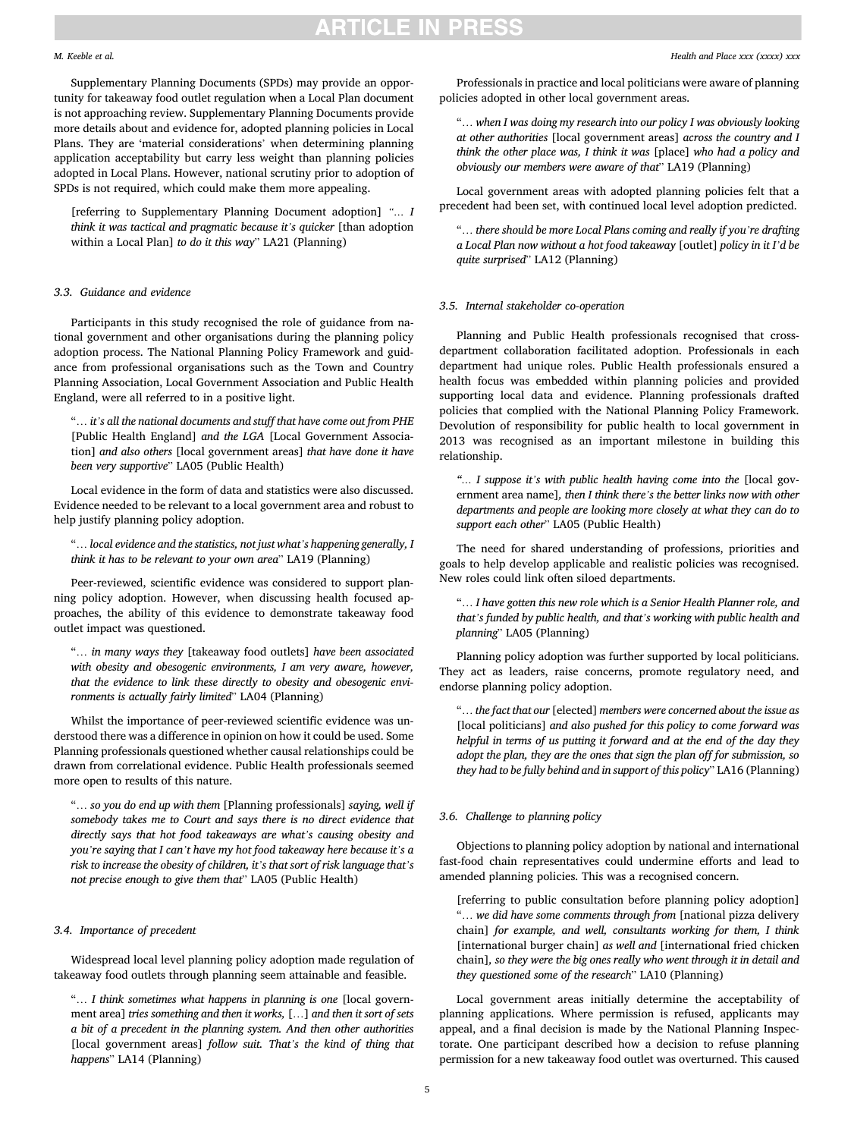#### *M. Keeble et al.*

Supplementary Planning Documents (SPDs) may provide an opportunity for takeaway food outlet regulation when a Local Plan document is not approaching review. Supplementary Planning Documents provide more details about and evidence for, adopted planning policies in Local Plans. They are 'material considerations' when determining planning application acceptability but carry less weight than planning policies adopted in Local Plans. However, national scrutiny prior to adoption of SPDs is not required, which could make them more appealing.

[referring to Supplementary Planning Document adoption] *"… I think it was tactical and pragmatic because it's quicker* [than adoption within a Local Plan] *to do it this way*" LA21 (Planning)

### *3.3. Guidance and evidence*

Participants in this study recognised the role of guidance from national government and other organisations during the planning policy adoption process. The National Planning Policy Framework and guidance from professional organisations such as the Town and Country Planning Association, Local Government Association and Public Health England, were all referred to in a positive light.

"… *it's all the national documents and stuff that have come out from PHE*  [Public Health England] *and the LGA* [Local Government Association] *and also others* [local government areas] *that have done it have been very supportive*" LA05 (Public Health)

Local evidence in the form of data and statistics were also discussed. Evidence needed to be relevant to a local government area and robust to help justify planning policy adoption.

"… *local evidence and the statistics, not just what's happening generally, I think it has to be relevant to your own area*" LA19 (Planning)

Peer-reviewed, scientific evidence was considered to support planning policy adoption. However, when discussing health focused approaches, the ability of this evidence to demonstrate takeaway food outlet impact was questioned.

"… *in many ways they* [takeaway food outlets] *have been associated with obesity and obesogenic environments, I am very aware, however, that the evidence to link these directly to obesity and obesogenic environments is actually fairly limited*" LA04 (Planning)

Whilst the importance of peer-reviewed scientific evidence was understood there was a difference in opinion on how it could be used. Some Planning professionals questioned whether causal relationships could be drawn from correlational evidence. Public Health professionals seemed more open to results of this nature.

"… *so you do end up with them* [Planning professionals] *saying, well if somebody takes me to Court and says there is no direct evidence that directly says that hot food takeaways are what's causing obesity and you're saying that I can't have my hot food takeaway here because it's a risk to increase the obesity of children, it's that sort of risk language that's not precise enough to give them that*" LA05 (Public Health)

### *3.4. Importance of precedent*

Widespread local level planning policy adoption made regulation of takeaway food outlets through planning seem attainable and feasible.

"… *I think sometimes what happens in planning is one* [local government area] *tries something and then it works,* […] *and then it sort of sets a bit of a precedent in the planning system. And then other authorities*  [local government areas] *follow suit. That's the kind of thing that happens*" LA14 (Planning)

Professionals in practice and local politicians were aware of planning policies adopted in other local government areas.

"… *when I was doing my research into our policy I was obviously looking at other authorities* [local government areas] *across the country and I think the other place was, I think it was* [place] *who had a policy and obviously our members were aware of that*" LA19 (Planning)

Local government areas with adopted planning policies felt that a precedent had been set, with continued local level adoption predicted.

"… *there should be more Local Plans coming and really if you're drafting a Local Plan now without a hot food takeaway* [outlet] *policy in it I'd be quite surprised*" LA12 (Planning)

### *3.5. Internal stakeholder co-operation*

Planning and Public Health professionals recognised that crossdepartment collaboration facilitated adoption. Professionals in each department had unique roles. Public Health professionals ensured a health focus was embedded within planning policies and provided supporting local data and evidence. Planning professionals drafted policies that complied with the National Planning Policy Framework. Devolution of responsibility for public health to local government in 2013 was recognised as an important milestone in building this relationship.

*"… I suppose it's with public health having come into the* [local government area name]*, then I think there's the better links now with other departments and people are looking more closely at what they can do to support each other*" LA05 (Public Health)

The need for shared understanding of professions, priorities and goals to help develop applicable and realistic policies was recognised. New roles could link often siloed departments.

"… *I have gotten this new role which is a Senior Health Planner role, and that's funded by public health, and that's working with public health and planning*" LA05 (Planning)

Planning policy adoption was further supported by local politicians. They act as leaders, raise concerns, promote regulatory need, and endorse planning policy adoption.

"… *the fact that our* [elected] *members were concerned about the issue as*  [local politicians] *and also pushed for this policy to come forward was helpful in terms of us putting it forward and at the end of the day they adopt the plan, they are the ones that sign the plan off for submission, so they had to be fully behind and in support of this policy*" LA16 (Planning)

## *3.6. Challenge to planning policy*

Objections to planning policy adoption by national and international fast-food chain representatives could undermine efforts and lead to amended planning policies. This was a recognised concern.

[referring to public consultation before planning policy adoption] "… *we did have some comments through from* [national pizza delivery chain] *for example, and well, consultants working for them, I think*  [international burger chain] *as well and* [international fried chicken chain]*, so they were the big ones really who went through it in detail and they questioned some of the research*" LA10 (Planning)

Local government areas initially determine the acceptability of planning applications. Where permission is refused, applicants may appeal, and a final decision is made by the National Planning Inspectorate. One participant described how a decision to refuse planning permission for a new takeaway food outlet was overturned. This caused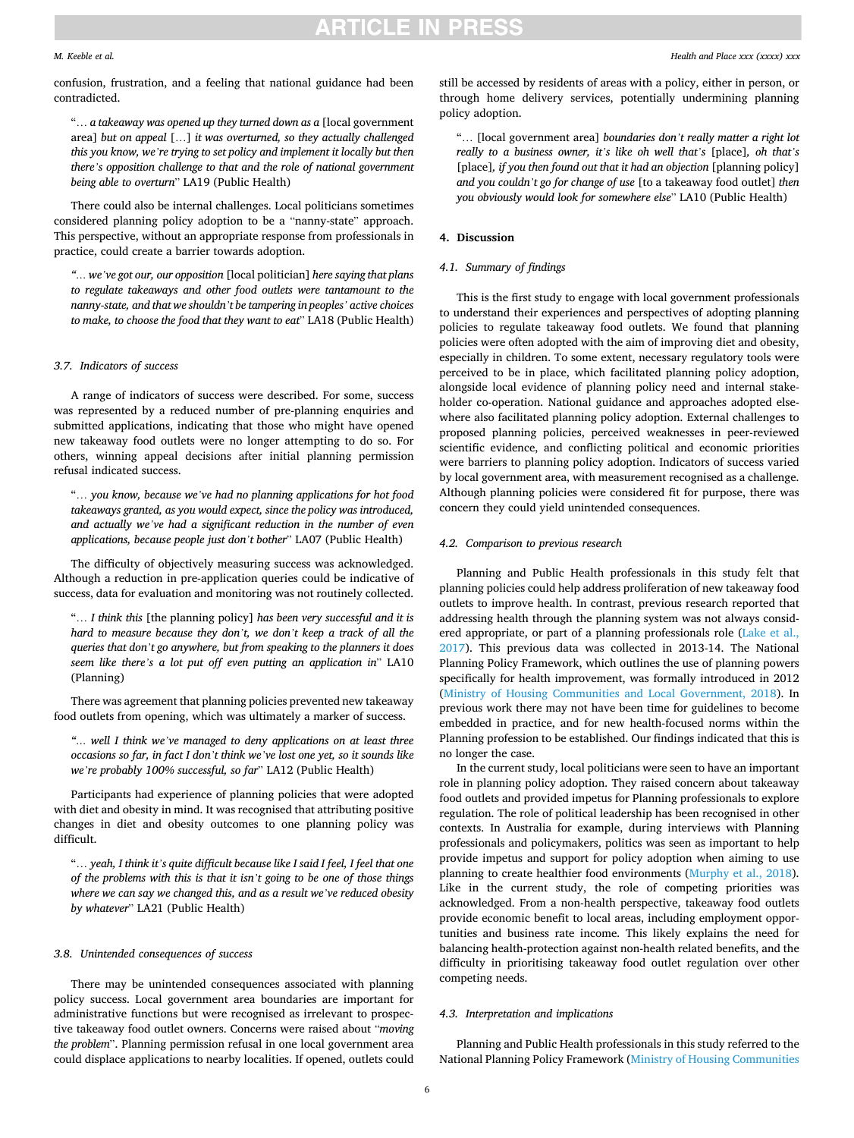### *M. Keeble et al.*

confusion, frustration, and a feeling that national guidance had been contradicted.

"… *a takeaway was opened up they turned down as a* [local government area] *but on appeal* […] *it was overturned, so they actually challenged this you know, we're trying to set policy and implement it locally but then there's opposition challenge to that and the role of national government being able to overturn*" LA19 (Public Health)

There could also be internal challenges. Local politicians sometimes considered planning policy adoption to be a "nanny-state" approach. This perspective, without an appropriate response from professionals in practice, could create a barrier towards adoption.

*"… we've got our, our opposition* [local politician] *here saying that plans to regulate takeaways and other food outlets were tantamount to the nanny-state, and that we shouldn't be tampering in peoples' active choices to make, to choose the food that they want to eat*" LA18 (Public Health)

#### *3.7. Indicators of success*

A range of indicators of success were described. For some, success was represented by a reduced number of pre-planning enquiries and submitted applications, indicating that those who might have opened new takeaway food outlets were no longer attempting to do so. For others, winning appeal decisions after initial planning permission refusal indicated success.

"… *you know, because we've had no planning applications for hot food takeaways granted, as you would expect, since the policy was introduced, and actually we've had a significant reduction in the number of even applications, because people just don't bother*" LA07 (Public Health)

The difficulty of objectively measuring success was acknowledged. Although a reduction in pre-application queries could be indicative of success, data for evaluation and monitoring was not routinely collected.

"… *I think this* [the planning policy] *has been very successful and it is hard to measure because they don't, we don't keep a track of all the queries that don't go anywhere, but from speaking to the planners it does seem like there's a lot put off even putting an application in*" LA10 (Planning)

There was agreement that planning policies prevented new takeaway food outlets from opening, which was ultimately a marker of success.

*"… well I think we've managed to deny applications on at least three occasions so far, in fact I don't think we've lost one yet, so it sounds like we're probably 100% successful, so far*" LA12 (Public Health)

Participants had experience of planning policies that were adopted with diet and obesity in mind. It was recognised that attributing positive changes in diet and obesity outcomes to one planning policy was difficult.

"… *yeah, I think it's quite difficult because like I said I feel, I feel that one of the problems with this is that it isn't going to be one of those things where we can say we changed this, and as a result we've reduced obesity by whatever*" LA21 (Public Health)

#### *3.8. Unintended consequences of success*

There may be unintended consequences associated with planning policy success. Local government area boundaries are important for administrative functions but were recognised as irrelevant to prospective takeaway food outlet owners. Concerns were raised about "*moving the problem*". Planning permission refusal in one local government area could displace applications to nearby localities. If opened, outlets could *Health and Place xxx (xxxx) xxx*

still be accessed by residents of areas with a policy, either in person, or through home delivery services, potentially undermining planning policy adoption.

"… [local government area] *boundaries don't really matter a right lot really to a business owner, it's like oh well that's* [place]*, oh that's*  [place], if you then found out that it had an objection [planning policy] *and you couldn't go for change of use* [to a takeaway food outlet] *then you obviously would look for somewhere else*" LA10 (Public Health)

#### **4. Discussion**

#### *4.1. Summary of findings*

This is the first study to engage with local government professionals to understand their experiences and perspectives of adopting planning policies to regulate takeaway food outlets. We found that planning policies were often adopted with the aim of improving diet and obesity, especially in children. To some extent, necessary regulatory tools were perceived to be in place, which facilitated planning policy adoption, alongside local evidence of planning policy need and internal stakeholder co-operation. National guidance and approaches adopted elsewhere also facilitated planning policy adoption. External challenges to proposed planning policies, perceived weaknesses in peer-reviewed scientific evidence, and conflicting political and economic priorities were barriers to planning policy adoption. Indicators of success varied by local government area, with measurement recognised as a challenge. Although planning policies were considered fit for purpose, there was concern they could yield unintended consequences.

### *4.2. Comparison to previous research*

Planning and Public Health professionals in this study felt that planning policies could help address proliferation of new takeaway food outlets to improve health. In contrast, previous research reported that addressing health through the planning system was not always considered appropriate, or part of a planning professionals role ([Lake et al.,](#page-8-0)  [2017\)](#page-8-0). This previous data was collected in 2013-14. The National Planning Policy Framework, which outlines the use of planning powers specifically for health improvement, was formally introduced in 2012 ([Ministry of Housing Communities and Local Government, 2018\)](#page-8-0). In previous work there may not have been time for guidelines to become embedded in practice, and for new health-focused norms within the Planning profession to be established. Our findings indicated that this is no longer the case.

In the current study, local politicians were seen to have an important role in planning policy adoption. They raised concern about takeaway food outlets and provided impetus for Planning professionals to explore regulation. The role of political leadership has been recognised in other contexts. In Australia for example, during interviews with Planning professionals and policymakers, politics was seen as important to help provide impetus and support for policy adoption when aiming to use planning to create healthier food environments ([Murphy et al., 2018](#page-8-0)). Like in the current study, the role of competing priorities was acknowledged. From a non-health perspective, takeaway food outlets provide economic benefit to local areas, including employment opportunities and business rate income. This likely explains the need for balancing health-protection against non-health related benefits, and the difficulty in prioritising takeaway food outlet regulation over other competing needs.

## *4.3. Interpretation and implications*

Planning and Public Health professionals in this study referred to the National Planning Policy Framework [\(Ministry of Housing Communities](#page-8-0)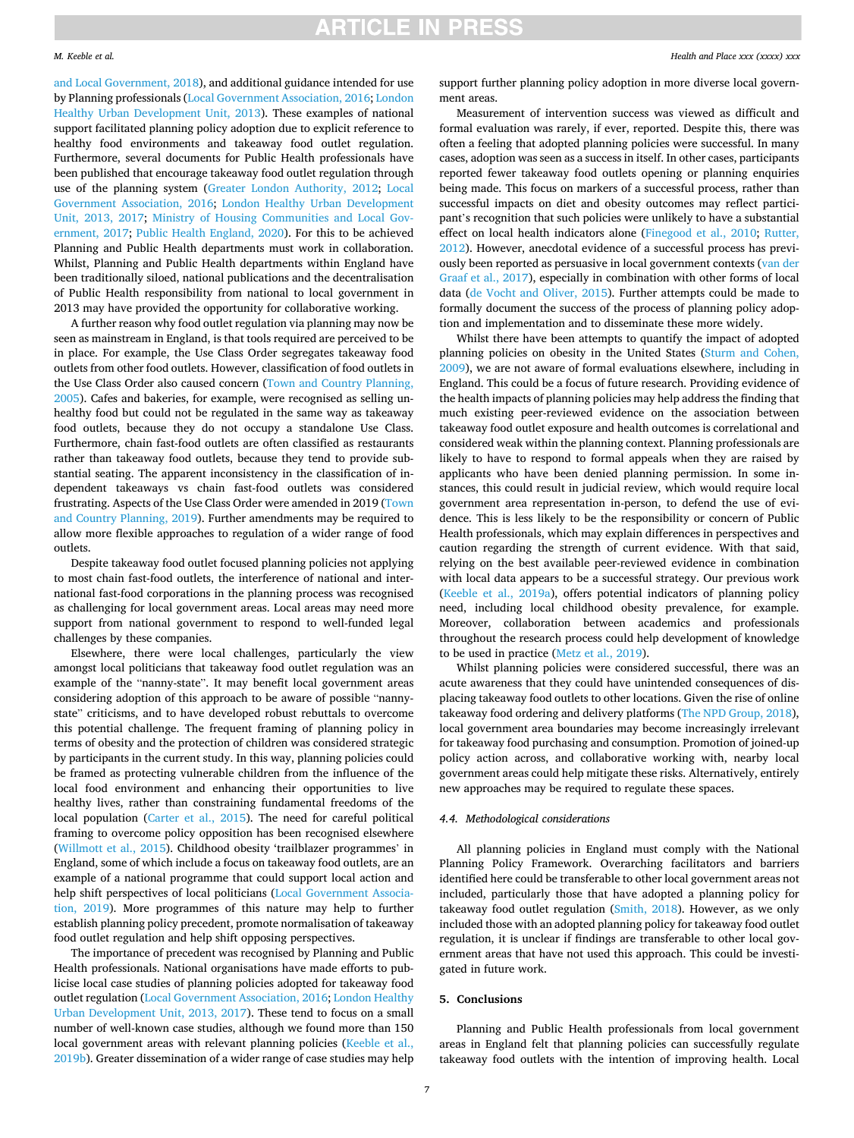#### *M. Keeble et al.*

[and Local Government, 2018\)](#page-8-0), and additional guidance intended for use by Planning professionals ([Local Government Association, 2016](#page-8-0); [London](#page-8-0)  [Healthy Urban Development Unit, 2013\)](#page-8-0). These examples of national support facilitated planning policy adoption due to explicit reference to healthy food environments and takeaway food outlet regulation. Furthermore, several documents for Public Health professionals have been published that encourage takeaway food outlet regulation through use of the planning system [\(Greater London Authority, 2012;](#page-8-0) [Local](#page-8-0)  [Government Association, 2016;](#page-8-0) [London Healthy Urban Development](#page-8-0)  [Unit, 2013, 2017;](#page-8-0) [Ministry of Housing Communities and Local Gov](#page-8-0)[ernment, 2017](#page-8-0); [Public Health England, 2020](#page-8-0)). For this to be achieved Planning and Public Health departments must work in collaboration. Whilst, Planning and Public Health departments within England have been traditionally siloed, national publications and the decentralisation of Public Health responsibility from national to local government in 2013 may have provided the opportunity for collaborative working.

A further reason why food outlet regulation via planning may now be seen as mainstream in England, is that tools required are perceived to be in place. For example, the Use Class Order segregates takeaway food outlets from other food outlets. However, classification of food outlets in the Use Class Order also caused concern [\(Town and Country Planning,](#page-8-0)  [2005\)](#page-8-0). Cafes and bakeries, for example, were recognised as selling unhealthy food but could not be regulated in the same way as takeaway food outlets, because they do not occupy a standalone Use Class. Furthermore, chain fast-food outlets are often classified as restaurants rather than takeaway food outlets, because they tend to provide substantial seating. The apparent inconsistency in the classification of independent takeaways vs chain fast-food outlets was considered frustrating. Aspects of the Use Class Order were amended in 2019 ([Town](#page-8-0)  [and Country Planning, 2019\)](#page-8-0). Further amendments may be required to allow more flexible approaches to regulation of a wider range of food outlets.

Despite takeaway food outlet focused planning policies not applying to most chain fast-food outlets, the interference of national and international fast-food corporations in the planning process was recognised as challenging for local government areas. Local areas may need more support from national government to respond to well-funded legal challenges by these companies.

Elsewhere, there were local challenges, particularly the view amongst local politicians that takeaway food outlet regulation was an example of the "nanny-state". It may benefit local government areas considering adoption of this approach to be aware of possible "nannystate" criticisms, and to have developed robust rebuttals to overcome this potential challenge. The frequent framing of planning policy in terms of obesity and the protection of children was considered strategic by participants in the current study. In this way, planning policies could be framed as protecting vulnerable children from the influence of the local food environment and enhancing their opportunities to live healthy lives, rather than constraining fundamental freedoms of the local population [\(Carter et al., 2015\)](#page-7-0). The need for careful political framing to overcome policy opposition has been recognised elsewhere ([Willmott et al., 2015\)](#page-8-0). Childhood obesity 'trailblazer programmes' in England, some of which include a focus on takeaway food outlets, are an example of a national programme that could support local action and help shift perspectives of local politicians ([Local Government Associa](#page-8-0)[tion, 2019](#page-8-0)). More programmes of this nature may help to further establish planning policy precedent, promote normalisation of takeaway food outlet regulation and help shift opposing perspectives.

The importance of precedent was recognised by Planning and Public Health professionals. National organisations have made efforts to publicise local case studies of planning policies adopted for takeaway food outlet regulation ([Local Government Association, 2016; London Healthy](#page-8-0)  [Urban Development Unit, 2013, 2017](#page-8-0)). These tend to focus on a small number of well-known case studies, although we found more than 150 local government areas with relevant planning policies ([Keeble et al.,](#page-8-0)  [2019b\)](#page-8-0). Greater dissemination of a wider range of case studies may help support further planning policy adoption in more diverse local government areas.

Measurement of intervention success was viewed as difficult and formal evaluation was rarely, if ever, reported. Despite this, there was often a feeling that adopted planning policies were successful. In many cases, adoption was seen as a success in itself. In other cases, participants reported fewer takeaway food outlets opening or planning enquiries being made. This focus on markers of a successful process, rather than successful impacts on diet and obesity outcomes may reflect participant's recognition that such policies were unlikely to have a substantial effect on local health indicators alone [\(Finegood et al., 2010;](#page-7-0) [Rutter,](#page-8-0)  [2012\)](#page-8-0). However, anecdotal evidence of a successful process has previously been reported as persuasive in local government contexts [\(van der](#page-8-0)  [Graaf et al., 2017\)](#page-8-0), especially in combination with other forms of local data ([de Vocht and Oliver, 2015\)](#page-7-0). Further attempts could be made to formally document the success of the process of planning policy adoption and implementation and to disseminate these more widely.

Whilst there have been attempts to quantify the impact of adopted planning policies on obesity in the United States ([Sturm and Cohen,](#page-8-0)  [2009\)](#page-8-0), we are not aware of formal evaluations elsewhere, including in England. This could be a focus of future research. Providing evidence of the health impacts of planning policies may help address the finding that much existing peer-reviewed evidence on the association between takeaway food outlet exposure and health outcomes is correlational and considered weak within the planning context. Planning professionals are likely to have to respond to formal appeals when they are raised by applicants who have been denied planning permission. In some instances, this could result in judicial review, which would require local government area representation in-person, to defend the use of evidence. This is less likely to be the responsibility or concern of Public Health professionals, which may explain differences in perspectives and caution regarding the strength of current evidence. With that said, relying on the best available peer-reviewed evidence in combination with local data appears to be a successful strategy. Our previous work ([Keeble et al., 2019a](#page-8-0)), offers potential indicators of planning policy need, including local childhood obesity prevalence, for example. Moreover, collaboration between academics and professionals throughout the research process could help development of knowledge to be used in practice [\(Metz et al., 2019\)](#page-8-0).

Whilst planning policies were considered successful, there was an acute awareness that they could have unintended consequences of displacing takeaway food outlets to other locations. Given the rise of online takeaway food ordering and delivery platforms [\(The NPD Group, 2018](#page-8-0)), local government area boundaries may become increasingly irrelevant for takeaway food purchasing and consumption. Promotion of joined-up policy action across, and collaborative working with, nearby local government areas could help mitigate these risks. Alternatively, entirely new approaches may be required to regulate these spaces.

#### *4.4. Methodological considerations*

All planning policies in England must comply with the National Planning Policy Framework. Overarching facilitators and barriers identified here could be transferable to other local government areas not included, particularly those that have adopted a planning policy for takeaway food outlet regulation ([Smith, 2018\)](#page-8-0). However, as we only included those with an adopted planning policy for takeaway food outlet regulation, it is unclear if findings are transferable to other local government areas that have not used this approach. This could be investigated in future work.

## **5. Conclusions**

Planning and Public Health professionals from local government areas in England felt that planning policies can successfully regulate takeaway food outlets with the intention of improving health. Local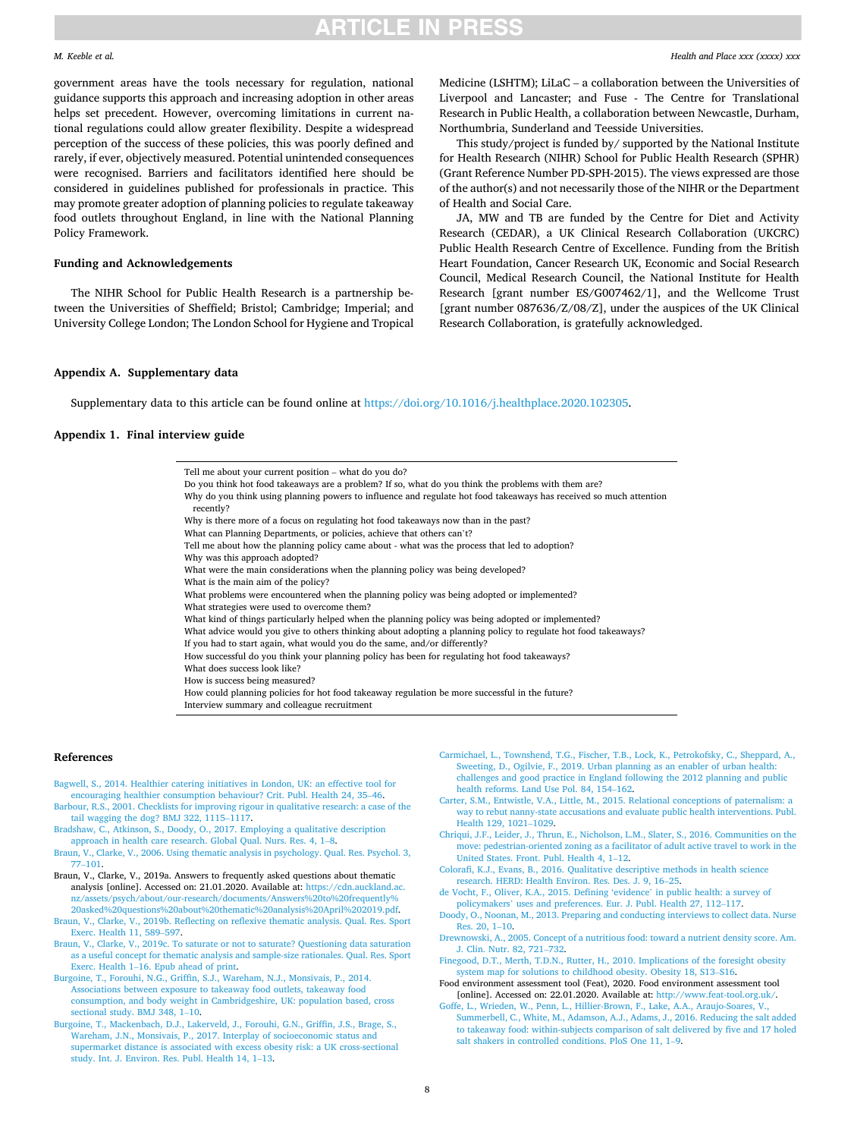#### <span id="page-7-0"></span>*M. Keeble et al.*

government areas have the tools necessary for regulation, national guidance supports this approach and increasing adoption in other areas helps set precedent. However, overcoming limitations in current national regulations could allow greater flexibility. Despite a widespread perception of the success of these policies, this was poorly defined and rarely, if ever, objectively measured. Potential unintended consequences were recognised. Barriers and facilitators identified here should be considered in guidelines published for professionals in practice. This may promote greater adoption of planning policies to regulate takeaway food outlets throughout England, in line with the National Planning Policy Framework.

# **Funding and Acknowledgements**

The NIHR School for Public Health Research is a partnership between the Universities of Sheffield; Bristol; Cambridge; Imperial; and University College London; The London School for Hygiene and Tropical Medicine (LSHTM); LiLaC – a collaboration between the Universities of Liverpool and Lancaster; and Fuse - The Centre for Translational Research in Public Health, a collaboration between Newcastle, Durham, Northumbria, Sunderland and Teesside Universities.

This study/project is funded by/ supported by the National Institute for Health Research (NIHR) School for Public Health Research (SPHR) (Grant Reference Number PD-SPH-2015). The views expressed are those of the author(s) and not necessarily those of the NIHR or the Department of Health and Social Care.

JA, MW and TB are funded by the Centre for Diet and Activity Research (CEDAR), a UK Clinical Research Collaboration (UKCRC) Public Health Research Centre of Excellence. Funding from the British Heart Foundation, Cancer Research UK, Economic and Social Research Council, Medical Research Council, the National Institute for Health Research [grant number ES/G007462/1], and the Wellcome Trust [grant number 087636/Z/08/Z], under the auspices of the UK Clinical Research Collaboration, is gratefully acknowledged.

#### **Appendix A. Supplementary data**

Supplementary data to this article can be found online at<https://doi.org/10.1016/j.healthplace.2020.102305>.

# **Appendix 1. Final interview guide**

| Tell me about your current position - what do you do?                                                                           |
|---------------------------------------------------------------------------------------------------------------------------------|
| Do you think hot food takeaways are a problem? If so, what do you think the problems with them are?                             |
| Why do you think using planning powers to influence and regulate hot food takeaways has received so much attention<br>recently? |
| Why is there more of a focus on regulating hot food takeaways now than in the past?                                             |
| What can Planning Departments, or policies, achieve that others can't?                                                          |
| Tell me about how the planning policy came about - what was the process that led to adoption?                                   |
| Why was this approach adopted?                                                                                                  |
| What were the main considerations when the planning policy was being developed?                                                 |
| What is the main aim of the policy?                                                                                             |
| What problems were encountered when the planning policy was being adopted or implemented?                                       |
| What strategies were used to overcome them?                                                                                     |
| What kind of things particularly helped when the planning policy was being adopted or implemented?                              |
| What advice would you give to others thinking about adopting a planning policy to regulate hot food takeaways?                  |
| If you had to start again, what would you do the same, and/or differently?                                                      |
| How successful do you think your planning policy has been for regulating hot food takeaways?                                    |
| What does success look like?                                                                                                    |
| How is success being measured?                                                                                                  |
| How could planning policies for hot food takeaway regulation be more successful in the future?                                  |
| Interview summary and colleague recruitment                                                                                     |

#### **References**

- [Bagwell, S., 2014. Healthier catering initiatives in London, UK: an effective tool for](http://refhub.elsevier.com/S1353-8292(19)30783-X/sref1) [encouraging healthier consumption behaviour? Crit. Publ. Health 24, 35](http://refhub.elsevier.com/S1353-8292(19)30783-X/sref1)–46.
- [Barbour, R.S., 2001. Checklists for improving rigour in qualitative research: a case of the](http://refhub.elsevier.com/S1353-8292(19)30783-X/sref2)  [tail wagging the dog? BMJ 322, 1115](http://refhub.elsevier.com/S1353-8292(19)30783-X/sref2)–1117.
- [Bradshaw, C., Atkinson, S., Doody, O., 2017. Employing a qualitative description](http://refhub.elsevier.com/S1353-8292(19)30783-X/sref3) [approach in health care research. Global Qual. Nurs. Res. 4, 1](http://refhub.elsevier.com/S1353-8292(19)30783-X/sref3)–8.
- [Braun, V., Clarke, V., 2006. Using thematic analysis in psychology. Qual. Res. Psychol. 3,](http://refhub.elsevier.com/S1353-8292(19)30783-X/sref4)  77–[101.](http://refhub.elsevier.com/S1353-8292(19)30783-X/sref4)
- Braun, V., Clarke, V., 2019a. Answers to frequently asked questions about thematic analysis [online]. Accessed on: 21.01.2020. Available at: [https://cdn.auckland.ac.](https://cdn.auckland.ac.nz/assets/psych/about/our-research/documents/Answers%20to%20frequently%20asked%20questions%20about%20thematic%20analysis%20April%202019.pdf)  [nz/assets/psych/about/our-research/documents/Answers%20to%20frequently%](https://cdn.auckland.ac.nz/assets/psych/about/our-research/documents/Answers%20to%20frequently%20asked%20questions%20about%20thematic%20analysis%20April%202019.pdf) [20asked%20questions%20about%20thematic%20analysis%20April%202019.pdf.](https://cdn.auckland.ac.nz/assets/psych/about/our-research/documents/Answers%20to%20frequently%20asked%20questions%20about%20thematic%20analysis%20April%202019.pdf)
- [Braun, V., Clarke, V., 2019b. Reflecting on reflexive thematic analysis. Qual. Res. Sport](http://refhub.elsevier.com/S1353-8292(19)30783-X/sref6)  [Exerc. Health 11, 589](http://refhub.elsevier.com/S1353-8292(19)30783-X/sref6)–597. [Braun, V., Clarke, V., 2019c. To saturate or not to saturate? Questioning data saturation](http://refhub.elsevier.com/S1353-8292(19)30783-X/sref7)
- [as a useful concept for thematic analysis and sample-size rationales. Qual. Res. Sport](http://refhub.elsevier.com/S1353-8292(19)30783-X/sref7)  Exerc. Health 1–[16. Epub ahead of print.](http://refhub.elsevier.com/S1353-8292(19)30783-X/sref7)
- [Burgoine, T., Forouhi, N.G., Griffin, S.J., Wareham, N.J., Monsivais, P., 2014.](http://refhub.elsevier.com/S1353-8292(19)30783-X/sref8) [Associations between exposure to takeaway food outlets, takeaway food](http://refhub.elsevier.com/S1353-8292(19)30783-X/sref8) [consumption, and body weight in Cambridgeshire, UK: population based, cross](http://refhub.elsevier.com/S1353-8292(19)30783-X/sref8) [sectional study. BMJ 348, 1](http://refhub.elsevier.com/S1353-8292(19)30783-X/sref8)–10.
- [Burgoine, T., Mackenbach, D.J., Lakerveld, J., Forouhi, G.N., Griffin, J.S., Brage, S.,](http://refhub.elsevier.com/S1353-8292(19)30783-X/sref9)  [Wareham, J.N., Monsivais, P., 2017. Interplay of socioeconomic status and](http://refhub.elsevier.com/S1353-8292(19)30783-X/sref9) [supermarket distance is associated with excess obesity risk: a UK cross-sectional](http://refhub.elsevier.com/S1353-8292(19)30783-X/sref9)  [study. Int. J. Environ. Res. Publ. Health 14, 1](http://refhub.elsevier.com/S1353-8292(19)30783-X/sref9)–13.
- [Carmichael, L., Townshend, T.G., Fischer, T.B., Lock, K., Petrokofsky, C., Sheppard, A.,](http://refhub.elsevier.com/S1353-8292(19)30783-X/sref10)  [Sweeting, D., Ogilvie, F., 2019. Urban planning as an enabler of urban health:](http://refhub.elsevier.com/S1353-8292(19)30783-X/sref10) [challenges and good practice in England following the 2012 planning and public](http://refhub.elsevier.com/S1353-8292(19)30783-X/sref10)  [health reforms. Land Use Pol. 84, 154](http://refhub.elsevier.com/S1353-8292(19)30783-X/sref10)–162.
- [Carter, S.M., Entwistle, V.A., Little, M., 2015. Relational conceptions of paternalism: a](http://refhub.elsevier.com/S1353-8292(19)30783-X/sref11) [way to rebut nanny-state accusations and evaluate public health interventions. Publ.](http://refhub.elsevier.com/S1353-8292(19)30783-X/sref11)  [Health 129, 1021](http://refhub.elsevier.com/S1353-8292(19)30783-X/sref11)–1029.
- [Chriqui, J.F., Leider, J., Thrun, E., Nicholson, L.M., Slater, S., 2016. Communities on the](http://refhub.elsevier.com/S1353-8292(19)30783-X/sref12)  [move: pedestrian-oriented zoning as a facilitator of adult active travel to work in the](http://refhub.elsevier.com/S1353-8292(19)30783-X/sref12)  [United States. Front. Publ. Health 4, 1](http://refhub.elsevier.com/S1353-8292(19)30783-X/sref12)–12.
- [Colorafi, K.J., Evans, B., 2016. Qualitative descriptive methods in health science](http://refhub.elsevier.com/S1353-8292(19)30783-X/sref13) [research. HERD: Health Environ. Res. Des. J. 9, 16](http://refhub.elsevier.com/S1353-8292(19)30783-X/sref13)–25.
- [de Vocht, F., Oliver, K.A., 2015. Defining 'evidence](http://refhub.elsevier.com/S1353-8292(19)30783-X/sref14)' in public health: a survey of policymakers' [uses and preferences. Eur. J. Publ. Health 27, 112](http://refhub.elsevier.com/S1353-8292(19)30783-X/sref14)–117.
- [Doody, O., Noonan, M., 2013. Preparing and conducting interviews to collect data. Nurse](http://refhub.elsevier.com/S1353-8292(19)30783-X/sref15)  [Res. 20, 1](http://refhub.elsevier.com/S1353-8292(19)30783-X/sref15)–10.
- [Drewnowski, A., 2005. Concept of a nutritious food: toward a nutrient density score. Am.](http://refhub.elsevier.com/S1353-8292(19)30783-X/sref16)  [J. Clin. Nutr. 82, 721](http://refhub.elsevier.com/S1353-8292(19)30783-X/sref16)–732.
- [Finegood, D.T., Merth, T.D.N., Rutter, H., 2010. Implications of the foresight obesity](http://refhub.elsevier.com/S1353-8292(19)30783-X/sref17) [system map for solutions to childhood obesity. Obesity 18, S13](http://refhub.elsevier.com/S1353-8292(19)30783-X/sref17)–S16.
- Food environment assessment tool (Feat), 2020. Food environment assessment tool [online]. Accessed on: 22.01.2020. Available at: <http://www.feat-tool.org.uk/>.
- [Goffe, L., Wrieden, W., Penn, L., Hillier-Brown, F., Lake, A.A., Araujo-Soares, V.,](http://refhub.elsevier.com/S1353-8292(19)30783-X/sref19)  [Summerbell, C., White, M., Adamson, A.J., Adams, J., 2016. Reducing the salt added](http://refhub.elsevier.com/S1353-8292(19)30783-X/sref19)  [to takeaway food: within-subjects comparison of salt delivered by five and 17 holed](http://refhub.elsevier.com/S1353-8292(19)30783-X/sref19)  [salt shakers in controlled conditions. PloS One 11, 1](http://refhub.elsevier.com/S1353-8292(19)30783-X/sref19)–9.